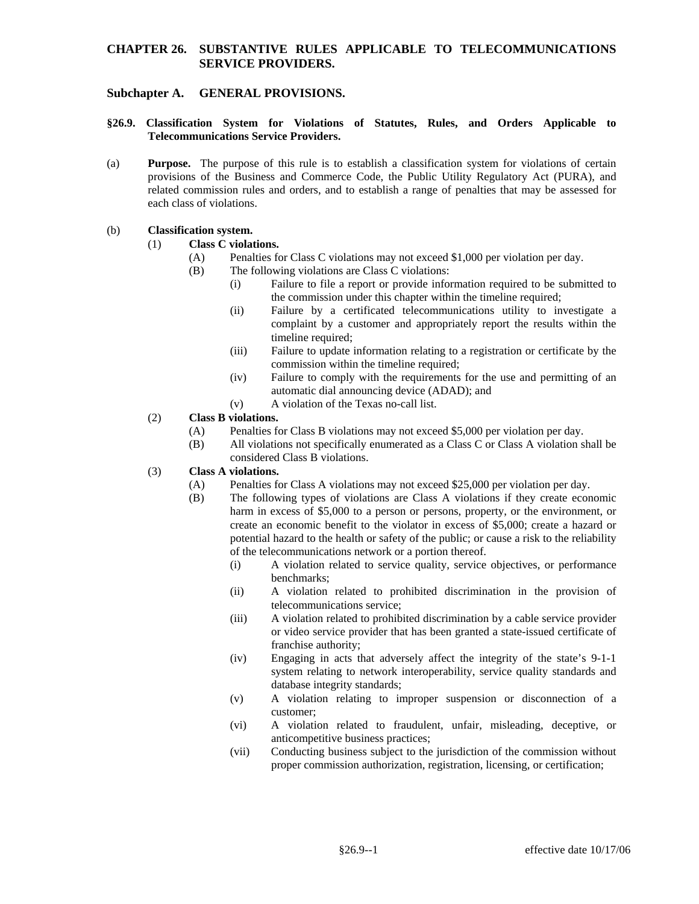### **CHAPTER 26. SUBSTANTIVE RULES APPLICABLE TO TELECOMMUNICATIONS SERVICE PROVIDERS.**

### **Subchapter A. GENERAL PROVISIONS.**

- **§26.9. Classification System for Violations of Statutes, Rules, and Orders Applicable to Telecommunications Service Providers.**
- (a) **Purpose.** The purpose of this rule is to establish a classification system for violations of certain provisions of the Business and Commerce Code, the Public Utility Regulatory Act (PURA), and related commission rules and orders, and to establish a range of penalties that may be assessed for each class of violations.

#### (b) **Classification system.**

#### (1) **Class C violations.**

- (A) Penalties for Class C violations may not exceed \$1,000 per violation per day.
- (B) The following violations are Class C violations:
	- (i) Failure to file a report or provide information required to be submitted to the commission under this chapter within the timeline required;
	- (ii) Failure by a certificated telecommunications utility to investigate a complaint by a customer and appropriately report the results within the timeline required;
	- (iii) Failure to update information relating to a registration or certificate by the commission within the timeline required;
	- (iv) Failure to comply with the requirements for the use and permitting of an automatic dial announcing device (ADAD); and
	- (v) A violation of the Texas no-call list.

#### (2) **Class B violations.**

- (A) Penalties for Class B violations may not exceed \$5,000 per violation per day.
- (B) All violations not specifically enumerated as a Class C or Class A violation shall be considered Class B violations.

#### (3) **Class A violations.**

- (A) Penalties for Class A violations may not exceed \$25,000 per violation per day.
- (B) The following types of violations are Class A violations if they create economic harm in excess of \$5,000 to a person or persons, property, or the environment, or create an economic benefit to the violator in excess of \$5,000; create a hazard or potential hazard to the health or safety of the public; or cause a risk to the reliability of the telecommunications network or a portion thereof.
	- (i) A violation related to service quality, service objectives, or performance benchmarks;
	- (ii) A violation related to prohibited discrimination in the provision of telecommunications service;
	- (iii) A violation related to prohibited discrimination by a cable service provider or video service provider that has been granted a state-issued certificate of franchise authority;
	- (iv) Engaging in acts that adversely affect the integrity of the state's 9-1-1 system relating to network interoperability, service quality standards and database integrity standards;
	- (v) A violation relating to improper suspension or disconnection of a customer;
	- (vi) A violation related to fraudulent, unfair, misleading, deceptive, or anticompetitive business practices;
	- (vii) Conducting business subject to the jurisdiction of the commission without proper commission authorization, registration, licensing, or certification;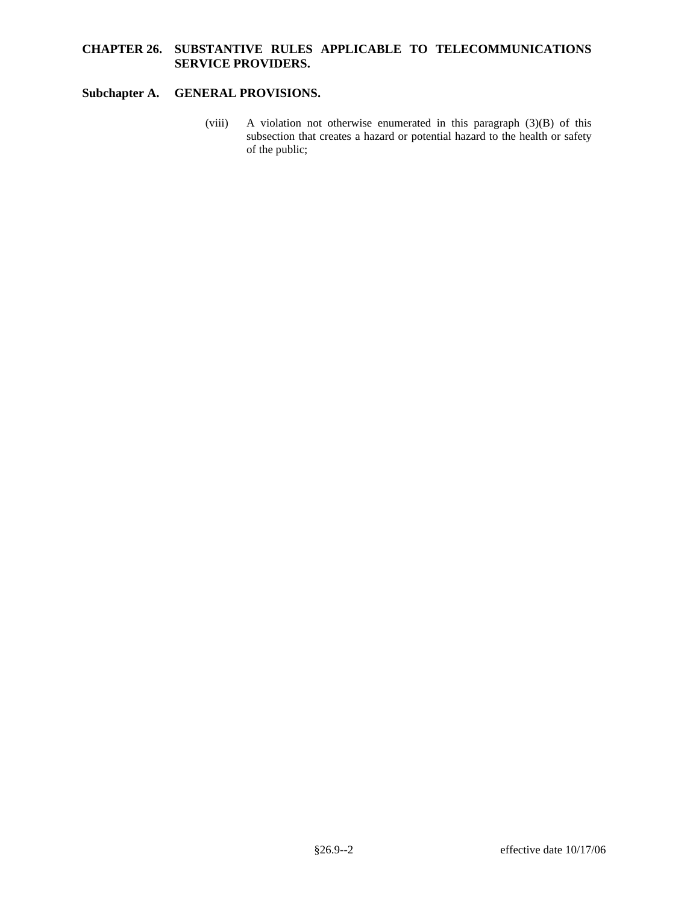## **CHAPTER 26. SUBSTANTIVE RULES APPLICABLE TO TELECOMMUNICATIONS SERVICE PROVIDERS.**

# **Subchapter A. GENERAL PROVISIONS.**

(viii) A violation not otherwise enumerated in this paragraph (3)(B) of this subsection that creates a hazard or potential hazard to the health or safety of the public;